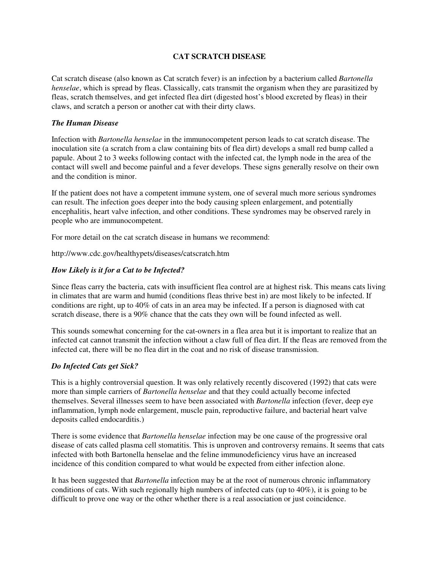## **CAT SCRATCH DISEASE**

Cat scratch disease (also known as Cat scratch fever) is an infection by a bacterium called *Bartonella henselae*, which is spread by fleas. Classically, cats transmit the organism when they are parasitized by fleas, scratch themselves, and get infected flea dirt (digested host's blood excreted by fleas) in their claws, and scratch a person or another cat with their dirty claws.

## *The Human Disease*

Infection with *Bartonella henselae* in the immunocompetent person leads to cat scratch disease. The inoculation site (a scratch from a claw containing bits of flea dirt) develops a small red bump called a papule. About 2 to 3 weeks following contact with the infected cat, the lymph node in the area of the contact will swell and become painful and a fever develops. These signs generally resolve on their own and the condition is minor.

If the patient does not have a competent immune system, one of several much more serious syndromes can result. The infection goes deeper into the body causing spleen enlargement, and potentially encephalitis, heart valve infection, and other conditions. These syndromes may be observed rarely in people who are immunocompetent.

For more detail on the cat scratch disease in humans we recommend:

http://www.cdc.gov/healthypets/diseases/catscratch.htm

# *How Likely is it for a Cat to be Infected?*

Since fleas carry the bacteria, cats with insufficient flea control are at highest risk. This means cats living in climates that are warm and humid (conditions fleas thrive best in) are most likely to be infected. If conditions are right, up to 40% of cats in an area may be infected. If a person is diagnosed with cat scratch disease, there is a 90% chance that the cats they own will be found infected as well.

This sounds somewhat concerning for the cat-owners in a flea area but it is important to realize that an infected cat cannot transmit the infection without a claw full of flea dirt. If the fleas are removed from the infected cat, there will be no flea dirt in the coat and no risk of disease transmission.

# *Do Infected Cats get Sick?*

This is a highly controversial question. It was only relatively recently discovered (1992) that cats were more than simple carriers of *Bartonella henselae* and that they could actually become infected themselves. Several illnesses seem to have been associated with *Bartonella* infection (fever, deep eye inflammation, lymph node enlargement, muscle pain, reproductive failure, and bacterial heart valve deposits called endocarditis.)

There is some evidence that *Bartonella henselae* infection may be one cause of the progressive oral disease of cats called plasma cell stomatitis. This is unproven and controversy remains. It seems that cats infected with both Bartonella henselae and the feline immunodeficiency virus have an increased incidence of this condition compared to what would be expected from either infection alone.

It has been suggested that *Bartonella* infection may be at the root of numerous chronic inflammatory conditions of cats. With such regionally high numbers of infected cats (up to 40%), it is going to be difficult to prove one way or the other whether there is a real association or just coincidence.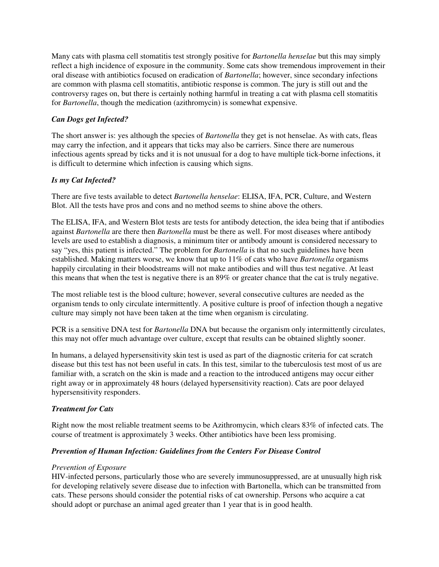Many cats with plasma cell stomatitis test strongly positive for *Bartonella henselae* but this may simply reflect a high incidence of exposure in the community. Some cats show tremendous improvement in their oral disease with antibiotics focused on eradication of *Bartonella*; however, since secondary infections are common with plasma cell stomatitis, antibiotic response is common. The jury is still out and the controversy rages on, but there is certainly nothing harmful in treating a cat with plasma cell stomatitis for *Bartonella*, though the medication (azithromycin) is somewhat expensive.

## *Can Dogs get Infected?*

The short answer is: yes although the species of *Bartonella* they get is not henselae. As with cats, fleas may carry the infection, and it appears that ticks may also be carriers. Since there are numerous infectious agents spread by ticks and it is not unusual for a dog to have multiple tick-borne infections, it is difficult to determine which infection is causing which signs.

## *Is my Cat Infected?*

There are five tests available to detect *Bartonella henselae*: ELISA, IFA, PCR, Culture, and Western Blot. All the tests have pros and cons and no method seems to shine above the others.

The ELISA, IFA, and Western Blot tests are tests for antibody detection, the idea being that if antibodies against *Bartonella* are there then *Bartonella* must be there as well. For most diseases where antibody levels are used to establish a diagnosis, a minimum titer or antibody amount is considered necessary to say "yes, this patient is infected." The problem for *Bartonella* is that no such guidelines have been established. Making matters worse, we know that up to 11% of cats who have *Bartonella* organisms happily circulating in their bloodstreams will not make antibodies and will thus test negative. At least this means that when the test is negative there is an 89% or greater chance that the cat is truly negative.

The most reliable test is the blood culture; however, several consecutive cultures are needed as the organism tends to only circulate intermittently. A positive culture is proof of infection though a negative culture may simply not have been taken at the time when organism is circulating.

PCR is a sensitive DNA test for *Bartonella* DNA but because the organism only intermittently circulates, this may not offer much advantage over culture, except that results can be obtained slightly sooner.

In humans, a delayed hypersensitivity skin test is used as part of the diagnostic criteria for cat scratch disease but this test has not been useful in cats. In this test, similar to the tuberculosis test most of us are familiar with, a scratch on the skin is made and a reaction to the introduced antigens may occur either right away or in approximately 48 hours (delayed hypersensitivity reaction). Cats are poor delayed hypersensitivity responders.

#### *Treatment for Cats*

Right now the most reliable treatment seems to be Azithromycin, which clears 83% of infected cats. The course of treatment is approximately 3 weeks. Other antibiotics have been less promising.

#### *Prevention of Human Infection: Guidelines from the Centers For Disease Control*

#### *Prevention of Exposure*

HIV-infected persons, particularly those who are severely immunosuppressed, are at unusually high risk for developing relatively severe disease due to infection with Bartonella, which can be transmitted from cats. These persons should consider the potential risks of cat ownership. Persons who acquire a cat should adopt or purchase an animal aged greater than 1 year that is in good health.